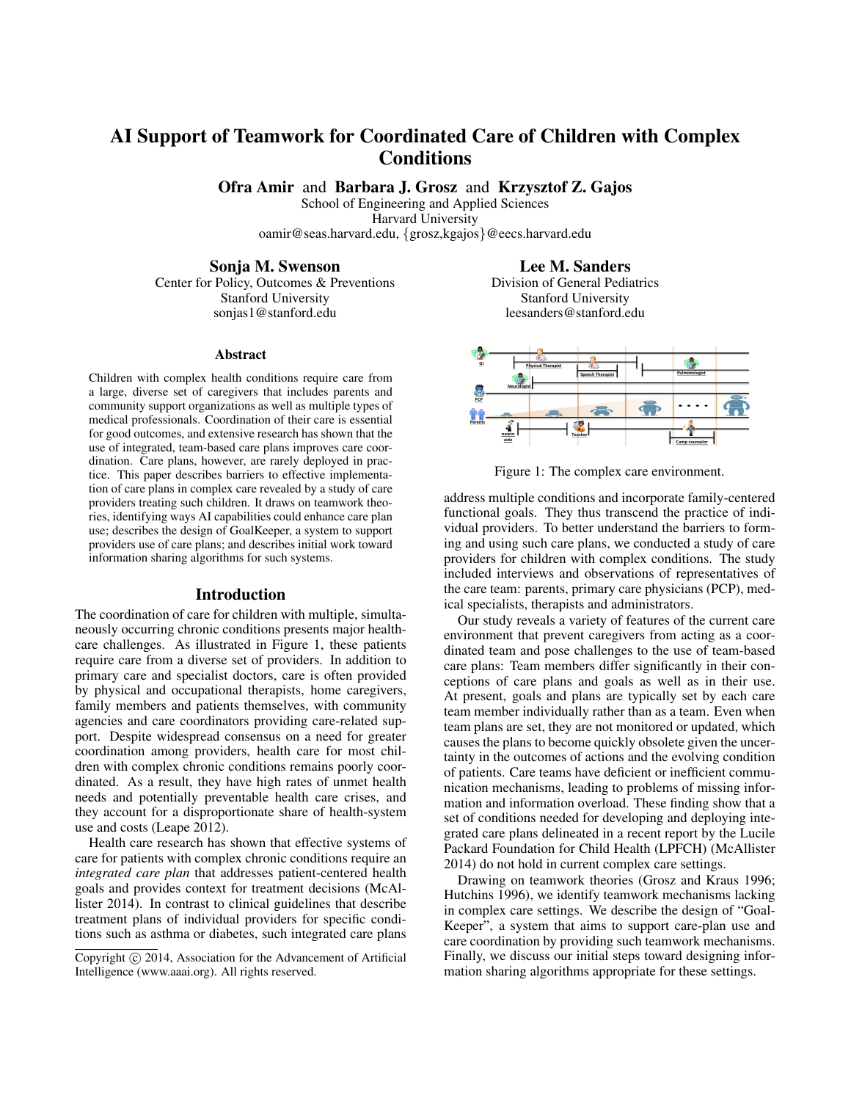# AI Support of Teamwork for Coordinated Care of Children with Complex Conditions

Ofra Amir and Barbara J. Grosz and Krzysztof Z. Gajos

School of Engineering and Applied Sciences Harvard University oamir@seas.harvard.edu, {grosz,kgajos}@eecs.harvard.edu

Sonja M. Swenson

Center for Policy, Outcomes & Preventions Stanford University sonjas1@stanford.edu

#### Abstract

Children with complex health conditions require care from a large, diverse set of caregivers that includes parents and community support organizations as well as multiple types of medical professionals. Coordination of their care is essential for good outcomes, and extensive research has shown that the use of integrated, team-based care plans improves care coordination. Care plans, however, are rarely deployed in practice. This paper describes barriers to effective implementation of care plans in complex care revealed by a study of care providers treating such children. It draws on teamwork theories, identifying ways AI capabilities could enhance care plan use; describes the design of GoalKeeper, a system to support providers use of care plans; and describes initial work toward information sharing algorithms for such systems.

#### Introduction

The coordination of care for children with multiple, simultaneously occurring chronic conditions presents major healthcare challenges. As illustrated in Figure 1, these patients require care from a diverse set of providers. In addition to primary care and specialist doctors, care is often provided by physical and occupational therapists, home caregivers, family members and patients themselves, with community agencies and care coordinators providing care-related support. Despite widespread consensus on a need for greater coordination among providers, health care for most children with complex chronic conditions remains poorly coordinated. As a result, they have high rates of unmet health needs and potentially preventable health care crises, and they account for a disproportionate share of health-system use and costs (Leape 2012).

Health care research has shown that effective systems of care for patients with complex chronic conditions require an *integrated care plan* that addresses patient-centered health goals and provides context for treatment decisions (McAllister 2014). In contrast to clinical guidelines that describe treatment plans of individual providers for specific conditions such as asthma or diabetes, such integrated care plans

Lee M. Sanders

Division of General Pediatrics Stanford University leesanders@stanford.edu



Figure 1: The complex care environment.

address multiple conditions and incorporate family-centered functional goals. They thus transcend the practice of individual providers. To better understand the barriers to forming and using such care plans, we conducted a study of care providers for children with complex conditions. The study included interviews and observations of representatives of the care team: parents, primary care physicians (PCP), medical specialists, therapists and administrators.

Our study reveals a variety of features of the current care environment that prevent caregivers from acting as a coordinated team and pose challenges to the use of team-based care plans: Team members differ significantly in their conceptions of care plans and goals as well as in their use. At present, goals and plans are typically set by each care team member individually rather than as a team. Even when team plans are set, they are not monitored or updated, which causes the plans to become quickly obsolete given the uncertainty in the outcomes of actions and the evolving condition of patients. Care teams have deficient or inefficient communication mechanisms, leading to problems of missing information and information overload. These finding show that a set of conditions needed for developing and deploying integrated care plans delineated in a recent report by the Lucile Packard Foundation for Child Health (LPFCH) (McAllister 2014) do not hold in current complex care settings.

Drawing on teamwork theories (Grosz and Kraus 1996; Hutchins 1996), we identify teamwork mechanisms lacking in complex care settings. We describe the design of "Goal-Keeper", a system that aims to support care-plan use and care coordination by providing such teamwork mechanisms. Finally, we discuss our initial steps toward designing information sharing algorithms appropriate for these settings.

Copyright (c) 2014, Association for the Advancement of Artificial Intelligence (www.aaai.org). All rights reserved.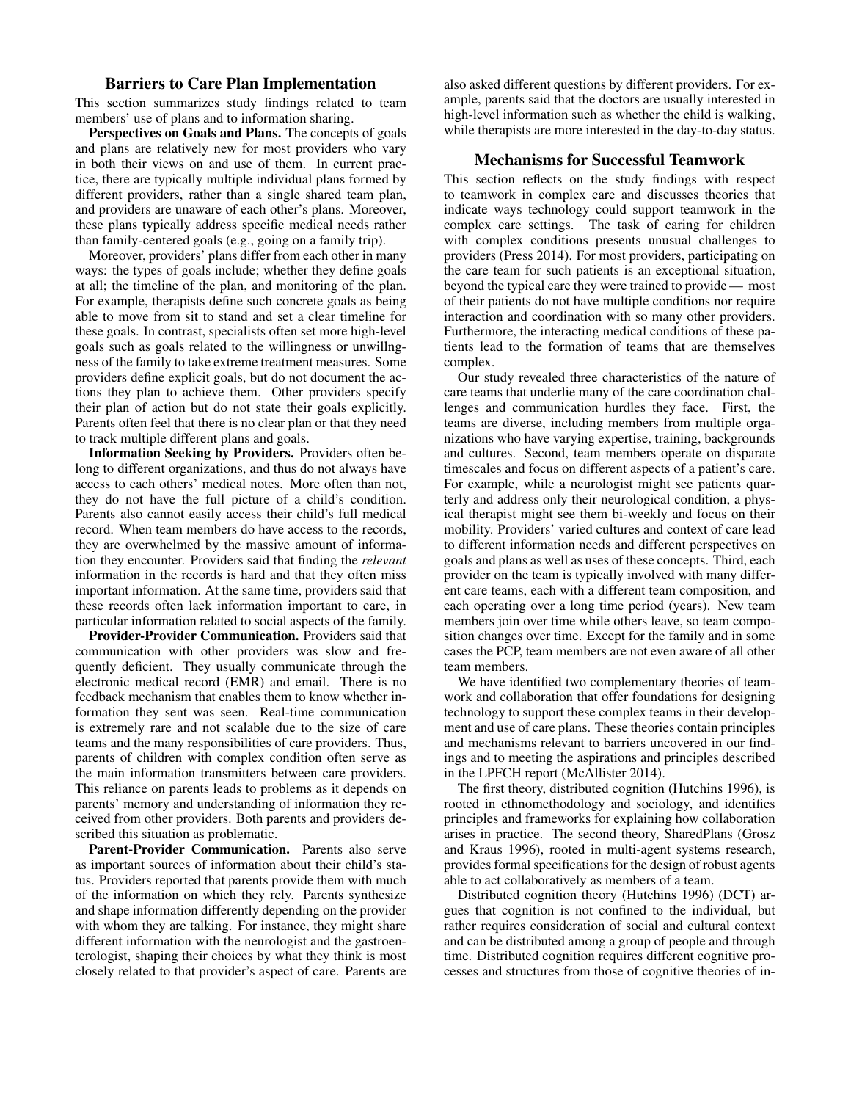### Barriers to Care Plan Implementation

This section summarizes study findings related to team members' use of plans and to information sharing.

Perspectives on Goals and Plans. The concepts of goals and plans are relatively new for most providers who vary in both their views on and use of them. In current practice, there are typically multiple individual plans formed by different providers, rather than a single shared team plan, and providers are unaware of each other's plans. Moreover, these plans typically address specific medical needs rather than family-centered goals (e.g., going on a family trip).

Moreover, providers' plans differ from each other in many ways: the types of goals include; whether they define goals at all; the timeline of the plan, and monitoring of the plan. For example, therapists define such concrete goals as being able to move from sit to stand and set a clear timeline for these goals. In contrast, specialists often set more high-level goals such as goals related to the willingness or unwillngness of the family to take extreme treatment measures. Some providers define explicit goals, but do not document the actions they plan to achieve them. Other providers specify their plan of action but do not state their goals explicitly. Parents often feel that there is no clear plan or that they need to track multiple different plans and goals.

Information Seeking by Providers. Providers often belong to different organizations, and thus do not always have access to each others' medical notes. More often than not, they do not have the full picture of a child's condition. Parents also cannot easily access their child's full medical record. When team members do have access to the records, they are overwhelmed by the massive amount of information they encounter. Providers said that finding the *relevant* information in the records is hard and that they often miss important information. At the same time, providers said that these records often lack information important to care, in particular information related to social aspects of the family.

Provider-Provider Communication. Providers said that communication with other providers was slow and frequently deficient. They usually communicate through the electronic medical record (EMR) and email. There is no feedback mechanism that enables them to know whether information they sent was seen. Real-time communication is extremely rare and not scalable due to the size of care teams and the many responsibilities of care providers. Thus, parents of children with complex condition often serve as the main information transmitters between care providers. This reliance on parents leads to problems as it depends on parents' memory and understanding of information they received from other providers. Both parents and providers described this situation as problematic.

Parent-Provider Communication. Parents also serve as important sources of information about their child's status. Providers reported that parents provide them with much of the information on which they rely. Parents synthesize and shape information differently depending on the provider with whom they are talking. For instance, they might share different information with the neurologist and the gastroenterologist, shaping their choices by what they think is most closely related to that provider's aspect of care. Parents are also asked different questions by different providers. For example, parents said that the doctors are usually interested in high-level information such as whether the child is walking, while therapists are more interested in the day-to-day status.

## Mechanisms for Successful Teamwork

This section reflects on the study findings with respect to teamwork in complex care and discusses theories that indicate ways technology could support teamwork in the complex care settings. The task of caring for children with complex conditions presents unusual challenges to providers (Press 2014). For most providers, participating on the care team for such patients is an exceptional situation, beyond the typical care they were trained to provide— most of their patients do not have multiple conditions nor require interaction and coordination with so many other providers. Furthermore, the interacting medical conditions of these patients lead to the formation of teams that are themselves complex.

Our study revealed three characteristics of the nature of care teams that underlie many of the care coordination challenges and communication hurdles they face. First, the teams are diverse, including members from multiple organizations who have varying expertise, training, backgrounds and cultures. Second, team members operate on disparate timescales and focus on different aspects of a patient's care. For example, while a neurologist might see patients quarterly and address only their neurological condition, a physical therapist might see them bi-weekly and focus on their mobility. Providers' varied cultures and context of care lead to different information needs and different perspectives on goals and plans as well as uses of these concepts. Third, each provider on the team is typically involved with many different care teams, each with a different team composition, and each operating over a long time period (years). New team members join over time while others leave, so team composition changes over time. Except for the family and in some cases the PCP, team members are not even aware of all other team members.

We have identified two complementary theories of teamwork and collaboration that offer foundations for designing technology to support these complex teams in their development and use of care plans. These theories contain principles and mechanisms relevant to barriers uncovered in our findings and to meeting the aspirations and principles described in the LPFCH report (McAllister 2014).

The first theory, distributed cognition (Hutchins 1996), is rooted in ethnomethodology and sociology, and identifies principles and frameworks for explaining how collaboration arises in practice. The second theory, SharedPlans (Grosz and Kraus 1996), rooted in multi-agent systems research, provides formal specifications for the design of robust agents able to act collaboratively as members of a team.

Distributed cognition theory (Hutchins 1996) (DCT) argues that cognition is not confined to the individual, but rather requires consideration of social and cultural context and can be distributed among a group of people and through time. Distributed cognition requires different cognitive processes and structures from those of cognitive theories of in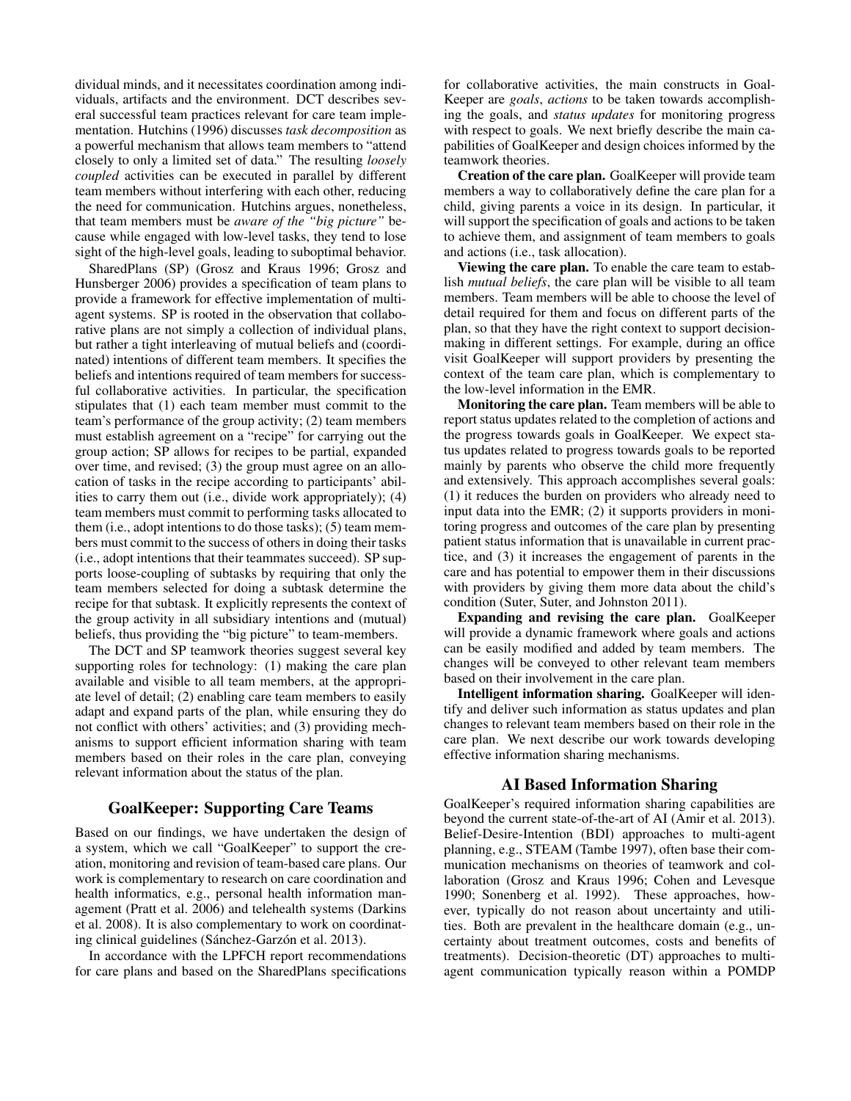dividual minds, and it necessitates coordination among individuals, artifacts and the environment. DCT describes several successful team practices relevant for care team implementation. Hutchins (1996) discusses *task decomposition* as a powerful mechanism that allows team members to "attend closely to only a limited set of data." The resulting *loosely coupled* activities can be executed in parallel by different team members without interfering with each other, reducing the need for communication. Hutchins argues, nonetheless, that team members must be *aware of the "big picture"* because while engaged with low-level tasks, they tend to lose sight of the high-level goals, leading to suboptimal behavior.

SharedPlans (SP) (Grosz and Kraus 1996; Grosz and Hunsberger 2006) provides a specification of team plans to provide a framework for effective implementation of multiagent systems. SP is rooted in the observation that collaborative plans are not simply a collection of individual plans, but rather a tight interleaving of mutual beliefs and (coordinated) intentions of different team members. It specifies the beliefs and intentions required of team members for successful collaborative activities. In particular, the specification stipulates that (1) each team member must commit to the team's performance of the group activity; (2) team members must establish agreement on a "recipe" for carrying out the group action; SP allows for recipes to be partial, expanded over time, and revised; (3) the group must agree on an allocation of tasks in the recipe according to participants' abilities to carry them out (i.e., divide work appropriately); (4) team members must commit to performing tasks allocated to them (i.e., adopt intentions to do those tasks); (5) team members must commit to the success of others in doing their tasks (i.e., adopt intentions that their teammates succeed). SP supports loose-coupling of subtasks by requiring that only the team members selected for doing a subtask determine the recipe for that subtask. It explicitly represents the context of the group activity in all subsidiary intentions and (mutual) beliefs, thus providing the "big picture" to team-members.

The DCT and SP teamwork theories suggest several key supporting roles for technology: (1) making the care plan available and visible to all team members, at the appropriate level of detail; (2) enabling care team members to easily adapt and expand parts of the plan, while ensuring they do not conflict with others' activities; and (3) providing mechanisms to support efficient information sharing with team members based on their roles in the care plan, conveying relevant information about the status of the plan.

### GoalKeeper: Supporting Care Teams

Based on our findings, we have undertaken the design of a system, which we call "GoalKeeper" to support the creation, monitoring and revision of team-based care plans. Our work is complementary to research on care coordination and health informatics, e.g., personal health information management (Pratt et al. 2006) and telehealth systems (Darkins et al. 2008). It is also complementary to work on coordinating clinical guidelines (Sánchez-Garzón et al. 2013).

In accordance with the LPFCH report recommendations for care plans and based on the SharedPlans specifications

for collaborative activities, the main constructs in Goal-Keeper are *goals*, *actions* to be taken towards accomplishing the goals, and *status updates* for monitoring progress with respect to goals. We next briefly describe the main capabilities of GoalKeeper and design choices informed by the teamwork theories.

Creation of the care plan. GoalKeeper will provide team members a way to collaboratively define the care plan for a child, giving parents a voice in its design. In particular, it will support the specification of goals and actions to be taken to achieve them, and assignment of team members to goals and actions (i.e., task allocation).

Viewing the care plan. To enable the care team to establish *mutual beliefs*, the care plan will be visible to all team members. Team members will be able to choose the level of detail required for them and focus on different parts of the plan, so that they have the right context to support decisionmaking in different settings. For example, during an office visit GoalKeeper will support providers by presenting the context of the team care plan, which is complementary to the low-level information in the EMR.

Monitoring the care plan. Team members will be able to report status updates related to the completion of actions and the progress towards goals in GoalKeeper. We expect status updates related to progress towards goals to be reported mainly by parents who observe the child more frequently and extensively. This approach accomplishes several goals: (1) it reduces the burden on providers who already need to input data into the EMR; (2) it supports providers in monitoring progress and outcomes of the care plan by presenting patient status information that is unavailable in current practice, and (3) it increases the engagement of parents in the care and has potential to empower them in their discussions with providers by giving them more data about the child's condition (Suter, Suter, and Johnston 2011).

Expanding and revising the care plan. GoalKeeper will provide a dynamic framework where goals and actions can be easily modified and added by team members. The changes will be conveyed to other relevant team members based on their involvement in the care plan.

Intelligent information sharing. GoalKeeper will identify and deliver such information as status updates and plan changes to relevant team members based on their role in the care plan. We next describe our work towards developing effective information sharing mechanisms.

### AI Based Information Sharing

GoalKeeper's required information sharing capabilities are beyond the current state-of-the-art of AI (Amir et al. 2013). Belief-Desire-Intention (BDI) approaches to multi-agent planning, e.g., STEAM (Tambe 1997), often base their communication mechanisms on theories of teamwork and collaboration (Grosz and Kraus 1996; Cohen and Levesque 1990; Sonenberg et al. 1992). These approaches, however, typically do not reason about uncertainty and utilities. Both are prevalent in the healthcare domain (e.g., uncertainty about treatment outcomes, costs and benefits of treatments). Decision-theoretic (DT) approaches to multiagent communication typically reason within a POMDP